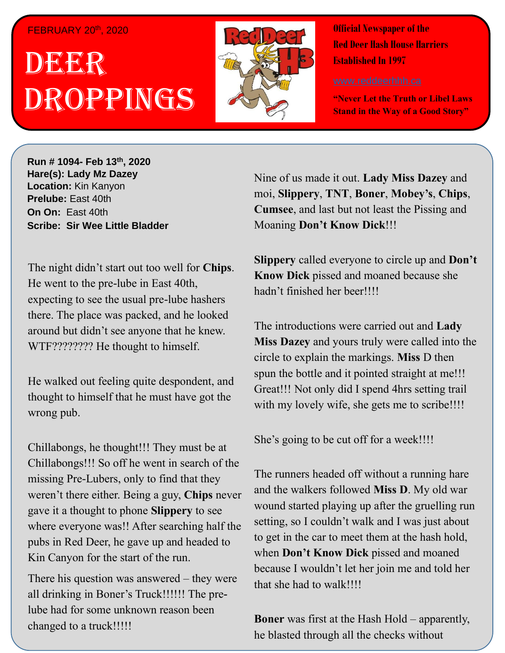#### FEBRUARY 20<sup>th</sup>, 2020

# . 1 DEER , 2018 Droppings



**Official Newspaper of the Red Deer Hash House Harriers Established In 1997** 

**"Never Let the Truth or Libel Laws Stand in the Way of a Good Story"**

**Run # 1075- Oct. 3 rd, 2019 Hare(s): Deep Throat with a little help from her Run # 1094- Feb 13th , 2020 virgin friend Hare(s): Lady Mz Dazey Location:** Kin Kanyon **Prelube:** East 40th **On On: East 40th Simbal Edst Tour**<br>Besikes Ais Wee Little R **Scribe: Sir Wee Little Bladder Scribe: Sir Wee Little Bladder** 

*possibly go for a run?* He went to the pre-lube in East 40th, expecting to see the usual pre-lube hashers there. The place was packed, and he looked around but didn't see anyone that he knew. WTF???????? He thought to himself. The night didn't start out too well for **Chips**.

He walked out feeling quite despondent, and thought to himself that he must have got the *gospel that comes out of your mouth that they create a*  wrong pub.

*daily self-improvement?* Chillabongs, he thought!!! They must be at Chillabongs!!! So off he went in search of the missing Pre-Lubers, only to find that they weren't there either. Being a guy, Chips never gave it a thought to phone **Slippery** to see where everyone was!! After searching half the pubs in Red Deer, he gave up and headed to Kin Canyon for the start of the run.

There his question was answered  $-$  they were all drinking in Boner's Truck!!!!!! The prelube had for some unknown reason been changed to a truck!!!!!

Nine of us made it out. **Lady Miss Dazey** and moi, **Slippery**, **TNT**, **Boner**, **Mobey's**, **Chips**, **Cumsee**, and last but not least the Pissing and Moaning **Don't Know Dick**!!!

**Slippery** called everyone to circle up and **Don't Know Dick** pissed and moaned because she hadn't finished her beer!!!!

The introductions were carried out and **Lady Miss Dazey** and yours truly were called into the circle to explain the markings. **Miss** D then spun the bottle and it pointed straight at me!!! Great!!! Not only did I spend 4hrs setting trail with my lovely wife, she gets me to scribe!!!!

She's going to be cut off for a week!!!!

The runners headed off without a running hare and the walkers followed **Miss D**. My old war wound started playing up after the gruelling run setting, so I couldn't walk and I was just about to get in the car to meet them at the hash hold, when **Don't Know Dick** pissed and moaned because I wouldn't let her join me and told her that she had to walk!!!!

he blasted through all the checks without **Boner** was first at the Hash Hold – apparently,